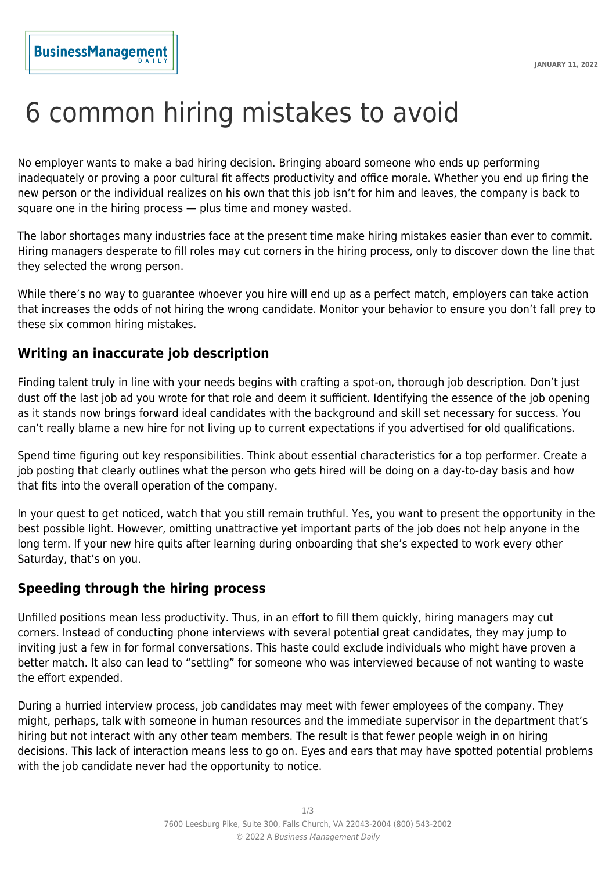# 6 common hiring mistakes to avoid

No employer wants to make a bad hiring decision. Bringing aboard someone who ends up performing inadequately or proving a poor cultural fit affects productivity and office morale. Whether you end up firing the new person or the individual realizes on his own that this job isn't for him and leaves, the company is back to square one in the hiring process — plus time and money wasted.

The labor shortages many industries face at the present time make hiring mistakes easier than ever to commit. Hiring managers desperate to fill roles may cut corners in the hiring process, only to discover down the line that they selected the wrong person.

While there's no way to guarantee whoever you hire will end up as a perfect match, employers can take action that increases the odds of not hiring the wrong candidate. Monitor your behavior to ensure you don't fall prey to these six common hiring mistakes.

## **Writing an inaccurate job description**

Finding talent truly in line with your needs begins with crafting a spot-on, thorough job description. Don't just dust off the last job ad you wrote for that role and deem it sufficient. Identifying the essence of the job opening as it stands now brings forward ideal candidates with the background and skill set necessary for success. You can't really blame a new hire for not living up to current expectations if you advertised for old qualifications.

Spend time figuring out key responsibilities. Think about essential characteristics for a top performer. Create a job posting that clearly outlines what the person who gets hired will be doing on a day-to-day basis and how that fits into the overall operation of the company.

In your quest to get noticed, watch that you still remain truthful. Yes, you want to present the opportunity in the best possible light. However, omitting unattractive yet important parts of the job does not help anyone in the long term. If your new hire quits after learning during onboarding that she's expected to work every other Saturday, that's on you.

## **Speeding through the hiring process**

Unfilled positions mean less productivity. Thus, in an effort to fill them quickly, hiring managers may cut corners. Instead of conducting phone interviews with several potential great candidates, they may jump to inviting just a few in for formal conversations. This haste could exclude individuals who might have proven a better match. It also can lead to "settling" for someone who was interviewed because of not wanting to waste the effort expended.

During a hurried interview process, job candidates may meet with fewer employees of the company. They might, perhaps, talk with someone in human resources and the immediate supervisor in the department that's hiring but not interact with any other team members. The result is that fewer people weigh in on hiring decisions. This lack of interaction means less to go on. Eyes and ears that may have spotted potential problems with the job candidate never had the opportunity to notice.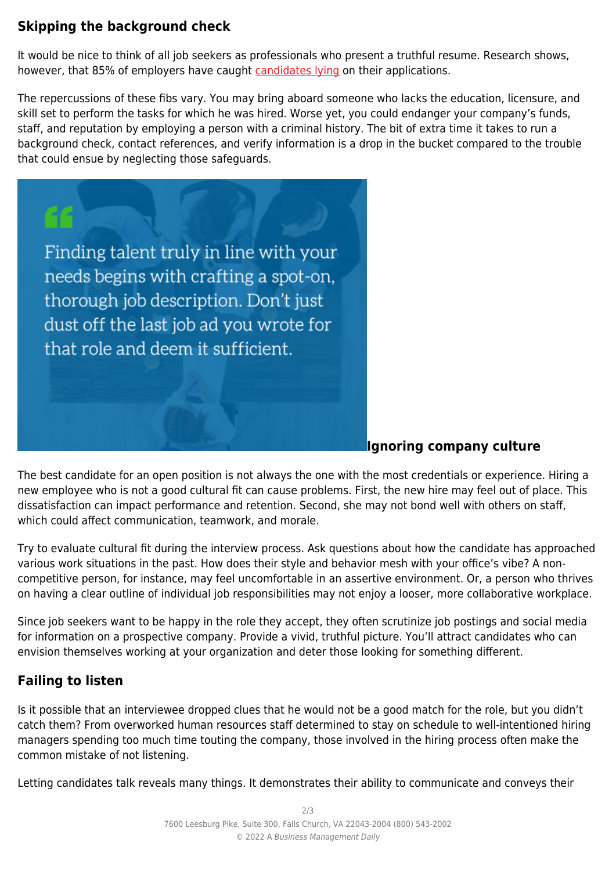## **Skipping the background check**

It would be nice to think of all job seekers as professionals who present a truthful resume. Research shows, however, that 85% of employers have caught [candidates lying](https://www.inc.com/jt-odonnell/staggering-85-of-job-applicants-lying-on-resumes-.html) on their applications.

The repercussions of these fibs vary. You may bring aboard someone who lacks the education, licensure, and skill set to perform the tasks for which he was hired. Worse yet, you could endanger your company's funds, staff, and reputation by employing a person with a criminal history. The bit of extra time it takes to run a background check, contact references, and verify information is a drop in the bucket compared to the trouble that could ensue by neglecting those safeguards.



## **Ignoring company culture**

The best candidate for an open position is not always the one with the most credentials or experience. Hiring a new employee who is not a good cultural fit can cause problems. First, the new hire may feel out of place. This dissatisfaction can impact performance and retention. Second, she may not bond well with others on staff, which could affect communication, teamwork, and morale.

Try to evaluate cultural fit during the interview process. Ask questions about how the candidate has approached various work situations in the past. How does their style and behavior mesh with your office's vibe? A noncompetitive person, for instance, may feel uncomfortable in an assertive environment. Or, a person who thrives on having a clear outline of individual job responsibilities may not enjoy a looser, more collaborative workplace.

Since job seekers want to be happy in the role they accept, they often scrutinize job postings and social media for information on a prospective company. Provide a vivid, truthful picture. You'll attract candidates who can envision themselves working at your organization and deter those looking for something different.

## **Failing to listen**

Is it possible that an interviewee dropped clues that he would not be a good match for the role, but you didn't catch them? From overworked human resources staff determined to stay on schedule to well-intentioned hiring managers spending too much time touting the company, those involved in the hiring process often make the common mistake of not listening.

Letting candidates talk reveals many things. It demonstrates their ability to communicate and conveys their